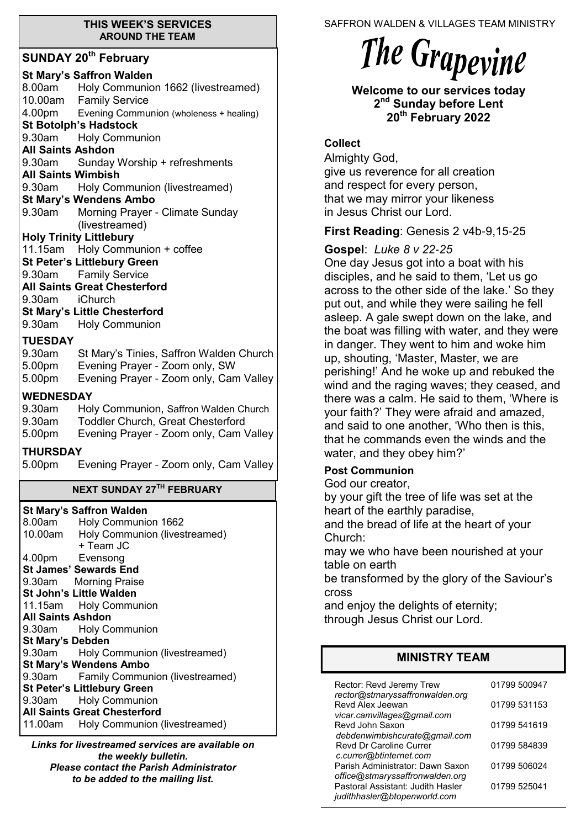#### **THIS WEEK'S SERVICES AROUND THE TEAM**

### **SUNDAY 20th February**

| OONDAT EV TUDIUGIY                                                                                                                                                                                                                            |  |  |
|-----------------------------------------------------------------------------------------------------------------------------------------------------------------------------------------------------------------------------------------------|--|--|
| <b>St Mary's Saffron Walden</b><br>8.00am Holy Communion 1662 (livestreamed)<br>10.00am Family Service<br>4.00pm Evening Communion (wholeness + healing)<br><b>St Botolph's Hadstock</b><br>9.30am Holy Communion<br><b>All Saints Ashdon</b> |  |  |
| 9.30am Sunday Worship + refreshments                                                                                                                                                                                                          |  |  |
| <b>All Saints Wimbish</b>                                                                                                                                                                                                                     |  |  |
| 9.30am Holy Communion (livestreamed)                                                                                                                                                                                                          |  |  |
| <b>St Mary's Wendens Ambo</b>                                                                                                                                                                                                                 |  |  |
| 9.30am Morning Prayer - Climate Sunday                                                                                                                                                                                                        |  |  |
| (livestreamed)                                                                                                                                                                                                                                |  |  |
| <b>Holy Trinity Littlebury</b>                                                                                                                                                                                                                |  |  |
| 11.15am Holy Communion + coffee<br><b>St Peter's Littlebury Green</b>                                                                                                                                                                         |  |  |
| 9.30am Family Service                                                                                                                                                                                                                         |  |  |
| <b>All Saints Great Chesterford</b>                                                                                                                                                                                                           |  |  |
| 9.30am iChurch                                                                                                                                                                                                                                |  |  |
| <b>St Mary's Little Chesterford</b>                                                                                                                                                                                                           |  |  |
| 9.30am Holy Communion                                                                                                                                                                                                                         |  |  |
| <b>TUESDAY</b>                                                                                                                                                                                                                                |  |  |
| St Mary's Tinies, Saffron Walden Church<br>9.30am                                                                                                                                                                                             |  |  |
| 5.00pm Evening Prayer - Zoom only, SW                                                                                                                                                                                                         |  |  |
| Evening Prayer - Zoom only, Cam Valley<br>5.00pm                                                                                                                                                                                              |  |  |
| <b>WEDNESDAY</b>                                                                                                                                                                                                                              |  |  |
| 9.30am<br>Holy Communion, Saffron Walden Church                                                                                                                                                                                               |  |  |
| Toddler Church, Great Chesterford<br>9.30am                                                                                                                                                                                                   |  |  |
| Evening Prayer - Zoom only, Cam Valley<br>5.00pm                                                                                                                                                                                              |  |  |
| <b>THURSDAY</b>                                                                                                                                                                                                                               |  |  |
| 5.00pm<br>Evening Prayer - Zoom only, Cam Valley                                                                                                                                                                                              |  |  |
| <b>NEXT SUNDAY 27TH FEBRUARY</b>                                                                                                                                                                                                              |  |  |
|                                                                                                                                                                                                                                               |  |  |
| <b>St Mary's Saffron Walden</b><br>8.00am                                                                                                                                                                                                     |  |  |
| Holy Communion 1662<br>10.00am<br>Holy Communion (livestreamed)                                                                                                                                                                               |  |  |
| + Team JC                                                                                                                                                                                                                                     |  |  |
| 4.00pm Evensong                                                                                                                                                                                                                               |  |  |
| <b>St James' Sewards End</b>                                                                                                                                                                                                                  |  |  |
| <b>Morning Praise</b><br>9.30am                                                                                                                                                                                                               |  |  |
| St John's Little Walden                                                                                                                                                                                                                       |  |  |
| 11.15am Holy Communion                                                                                                                                                                                                                        |  |  |
| <b>All Saints Ashdon</b><br><b>Holy Communion</b><br>9.30am                                                                                                                                                                                   |  |  |
|                                                                                                                                                                                                                                               |  |  |
|                                                                                                                                                                                                                                               |  |  |
| <b>St Mary's Debden</b><br>9.30am                                                                                                                                                                                                             |  |  |
| Holy Communion (livestreamed)<br><b>St Mary's Wendens Ambo</b>                                                                                                                                                                                |  |  |
| <b>Family Communion (livestreamed)</b><br>9.30am                                                                                                                                                                                              |  |  |

**St Peter's Littlebury Green** 9.30am Holy Communion **All Saints Great Chesterford** 11.00am Holy Communion (livestreamed)

*Links for livestreamed services are available on the weekly bulletin. Please contact the Parish Administrator to be added to the mailing list.*

SAFFRON WALDEN & VILLAGES TEAM MINISTRY

# The Grapevine

**Welcome to our services today 2 nd Sunday before Lent 20th February 2022**

## **Collect**

Almighty God, give us reverence for all creation and respect for every person, that we may mirror your likeness in Jesus Christ our Lord.

## **First Reading**: Genesis 2 v4b-9,15-25

**Gospel**: *Luke 8 v 22-25*

One day Jesus got into a boat with his disciples, and he said to them, 'Let us go across to the other side of the lake.' So they put out, and while they were sailing he fell asleep. A gale swept down on the lake, and the boat was filling with water, and they were in danger. They went to him and woke him up, shouting, 'Master, Master, we are perishing!' And he woke up and rebuked the wind and the raging waves; they ceased, and there was a calm. He said to them, 'Where is your faith?' They were afraid and amazed, and said to one another, 'Who then is this, that he commands even the winds and the water, and they obey him?'

## **Post Communion**

God our creator,

by your gift the tree of life was set at the heart of the earthly paradise,

and the bread of life at the heart of your Church:

may we who have been nourished at your table on earth

be transformed by the glory of the Saviour's cross

and enjoy the delights of eternity; through Jesus Christ our Lord.

## **MINISTRY TEAM**

| Rector: Revd Jeremy Trew<br>rector@stmaryssaffronwalden.org                                          | 01799 500947 |
|------------------------------------------------------------------------------------------------------|--------------|
| Revd Alex Jeewan                                                                                     | 01799 531153 |
| vicar.camvillages@gmail.com<br>Revd John Saxon                                                       | 01799 541619 |
| debdenwimbishcurate@gmail.com<br><b>Revd Dr Caroline Currer</b>                                      | 01799 584839 |
| c.currer@btinternet.com<br>Parish Administrator: Dawn Saxon                                          | 01799 506024 |
| office@stmaryssaffronwalden.org<br>Pastoral Assistant: Judith Hasler<br>judithhasler@btopenworld.com | 01799 525041 |